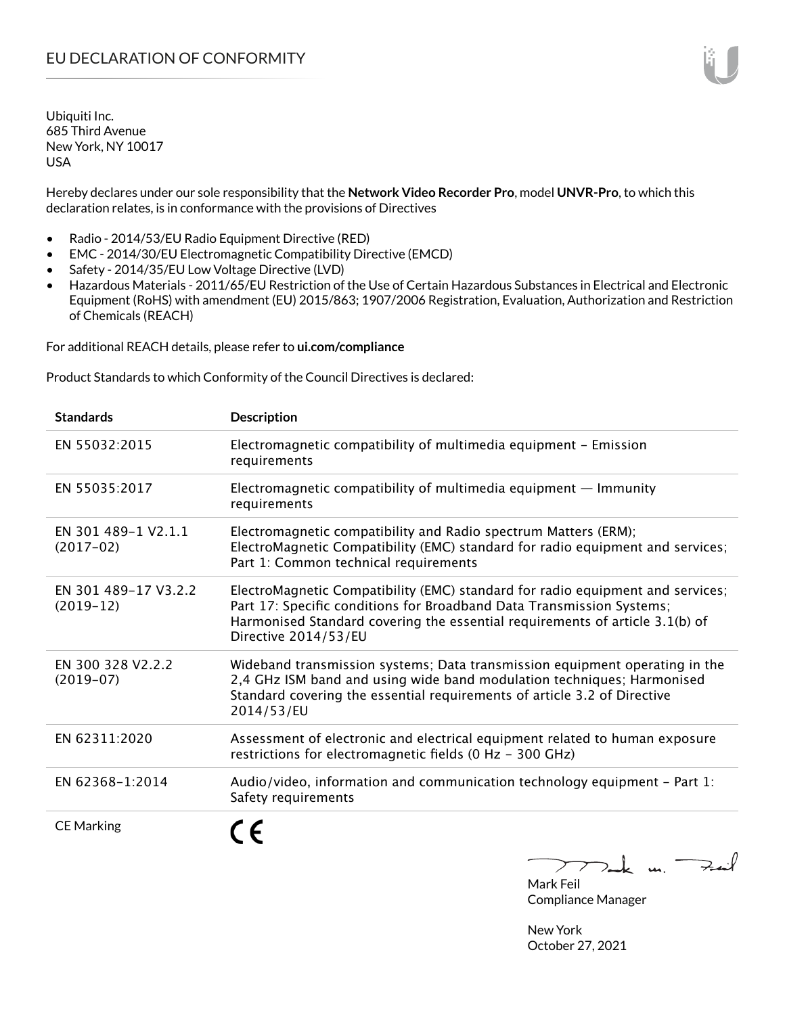Hereby declares under our sole responsibility that the **Network Video Recorder Pro**, model **UNVR-Pro**, to which this declaration relates, is in conformance with the provisions of Directives

- Radio 2014/53/EU Radio Equipment Directive (RED)
- EMC 2014/30/EU Electromagnetic Compatibility Directive (EMCD)
- Safety 2014/35/EU Low Voltage Directive (LVD)
- Hazardous Materials 2011/65/EU Restriction of the Use of Certain Hazardous Substances in Electrical and Electronic Equipment (RoHS) with amendment (EU) 2015/863; 1907/2006 Registration, Evaluation, Authorization and Restriction of Chemicals (REACH)

For additional REACH details, please refer to **ui.com/compliance**

Product Standards to which Conformity of the Council Directives is declared:

| <b>Standards</b>                    | <b>Description</b>                                                                                                                                                                                                                                              |
|-------------------------------------|-----------------------------------------------------------------------------------------------------------------------------------------------------------------------------------------------------------------------------------------------------------------|
| EN 55032:2015                       | Electromagnetic compatibility of multimedia equipment - Emission<br>requirements                                                                                                                                                                                |
| EN 55035:2017                       | Electromagnetic compatibility of multimedia equipment $-$ Immunity<br>requirements                                                                                                                                                                              |
| EN 301 489-1 V2.1.1<br>$(2017-02)$  | Electromagnetic compatibility and Radio spectrum Matters (ERM);<br>ElectroMagnetic Compatibility (EMC) standard for radio equipment and services;<br>Part 1: Common technical requirements                                                                      |
| EN 301 489-17 V3.2.2<br>$(2019-12)$ | ElectroMagnetic Compatibility (EMC) standard for radio equipment and services;<br>Part 17: Specific conditions for Broadband Data Transmission Systems;<br>Harmonised Standard covering the essential requirements of article 3.1(b) of<br>Directive 2014/53/EU |
| EN 300 328 V2.2.2<br>$(2019-07)$    | Wideband transmission systems; Data transmission equipment operating in the<br>2,4 GHz ISM band and using wide band modulation techniques; Harmonised<br>Standard covering the essential requirements of article 3.2 of Directive<br>2014/53/EU                 |
| EN 62311:2020                       | Assessment of electronic and electrical equipment related to human exposure<br>restrictions for electromagnetic fields (0 Hz - 300 GHz)                                                                                                                         |
| EN 62368-1:2014                     | Audio/video, information and communication technology equipment - Part 1:<br>Safety requirements                                                                                                                                                                |
| <b>CE Marking</b>                   | $\sqrt{2}$                                                                                                                                                                                                                                                      |

 $>$ ak un. Feit  $\sum$ 

Mark Feil Compliance Manager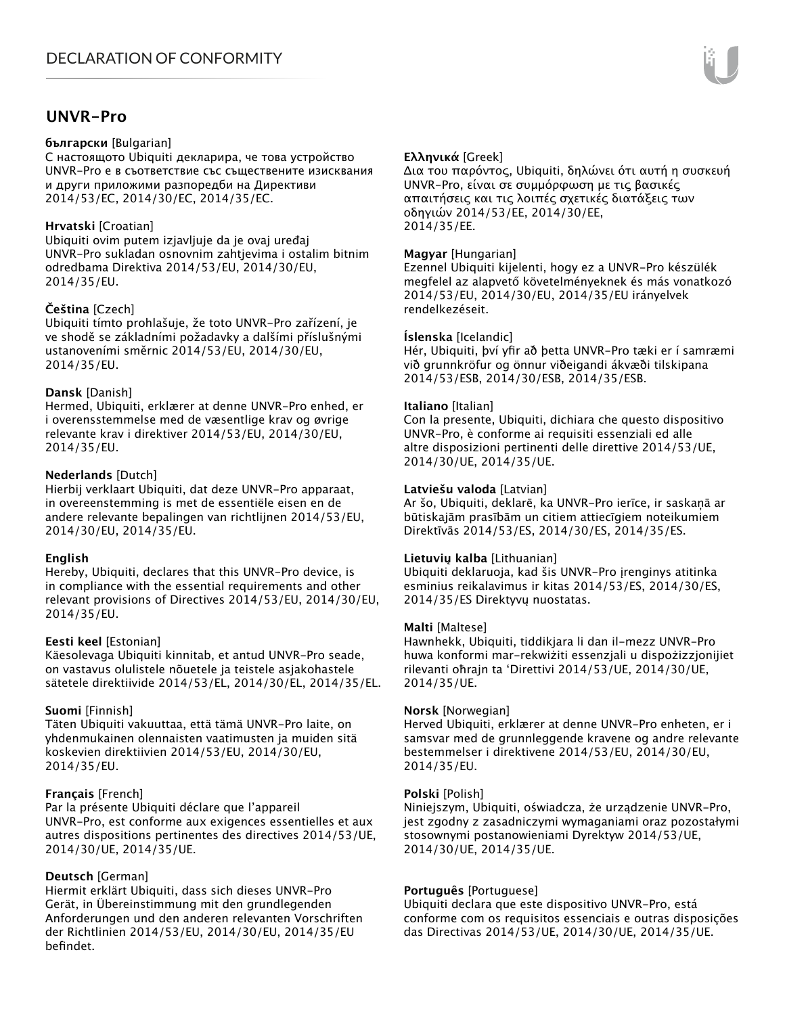### **UNVR-Pro**

#### **български** [Bulgarian]

С настоящото Ubiquiti декларира, че това устройство UNVR-Pro е в съответствие със съществените изисквания и други приложими разпоредби на Директиви 2014/53/EC, 2014/30/ЕС, 2014/35/ЕС.

#### **Hrvatski** [Croatian]

Ubiquiti ovim putem izjavljuje da je ovaj uređaj UNVR-Pro sukladan osnovnim zahtjevima i ostalim bitnim odredbama Direktiva 2014/53/EU, 2014/30/EU, 2014/35/EU.

#### **Čeština** [Czech]

Ubiquiti tímto prohlašuje, že toto UNVR-Pro zařízení, je ve shodě se základními požadavky a dalšími příslušnými ustanoveními směrnic 2014/53/EU, 2014/30/EU, 2014/35/EU.

#### **Dansk** [Danish]

Hermed, Ubiquiti, erklærer at denne UNVR-Pro enhed, er i overensstemmelse med de væsentlige krav og øvrige relevante krav i direktiver 2014/53/EU, 2014/30/EU, 2014/35/EU.

#### **Nederlands** [Dutch]

Hierbij verklaart Ubiquiti, dat deze UNVR-Pro apparaat, in overeenstemming is met de essentiële eisen en de andere relevante bepalingen van richtlijnen 2014/53/EU, 2014/30/EU, 2014/35/EU.

#### **English**

Hereby, Ubiquiti, declares that this UNVR-Pro device, is in compliance with the essential requirements and other relevant provisions of Directives 2014/53/EU, 2014/30/EU, 2014/35/EU.

#### **Eesti keel** [Estonian]

Käesolevaga Ubiquiti kinnitab, et antud UNVR-Pro seade, on vastavus olulistele nõuetele ja teistele asjakohastele sätetele direktiivide 2014/53/EL, 2014/30/EL, 2014/35/EL.

#### **Suomi** [Finnish]

Täten Ubiquiti vakuuttaa, että tämä UNVR-Pro laite, on yhdenmukainen olennaisten vaatimusten ja muiden sitä koskevien direktiivien 2014/53/EU, 2014/30/EU, 2014/35/EU.

#### **Français** [French]

Par la présente Ubiquiti déclare que l'appareil UNVR-Pro, est conforme aux exigences essentielles et aux autres dispositions pertinentes des directives 2014/53/UE, 2014/30/UE, 2014/35/UE.

#### **Deutsch** [German]

Hiermit erklärt Ubiquiti, dass sich dieses UNVR-Pro Gerät, in Übereinstimmung mit den grundlegenden Anforderungen und den anderen relevanten Vorschriften der Richtlinien 2014/53/EU, 2014/30/EU, 2014/35/EU befindet.

#### **Ελληνικά** [Greek]

Δια του παρόντος, Ubiquiti, δηλώνει ότι αυτή η συσκευή UNVR-Pro, είναι σε συμμόρφωση με τις βασικές απαιτήσεις και τις λοιπές σχετικές διατάξεις των οδηγιών 2014/53/EE, 2014/30/EE, 2014/35/EE.

#### **Magyar** [Hungarian]

Ezennel Ubiquiti kijelenti, hogy ez a UNVR-Pro készülék megfelel az alapvető követelményeknek és más vonatkozó 2014/53/EU, 2014/30/EU, 2014/35/EU irányelvek rendelkezéseit.

#### **Íslenska** [Icelandic]

Hér, Ubiquiti, því yfir að þetta UNVR-Pro tæki er í samræmi við grunnkröfur og önnur viðeigandi ákvæði tilskipana 2014/53/ESB, 2014/30/ESB, 2014/35/ESB.

#### **Italiano** [Italian]

Con la presente, Ubiquiti, dichiara che questo dispositivo UNVR-Pro, è conforme ai requisiti essenziali ed alle altre disposizioni pertinenti delle direttive 2014/53/UE, 2014/30/UE, 2014/35/UE.

#### **Latviešu valoda** [Latvian]

Ar šo, Ubiquiti, deklarē, ka UNVR-Pro ierīce, ir saskaņā ar būtiskajām prasībām un citiem attiecīgiem noteikumiem Direktīvās 2014/53/ES, 2014/30/ES, 2014/35/ES.

#### **Lietuvių kalba** [Lithuanian]

Ubiquiti deklaruoja, kad šis UNVR-Pro įrenginys atitinka esminius reikalavimus ir kitas 2014/53/ES, 2014/30/ES, 2014/35/ES Direktyvų nuostatas.

#### **Malti** [Maltese]

Hawnhekk, Ubiquiti, tiddikjara li dan il-mezz UNVR-Pro huwa konformi mar-rekwiżiti essenzjali u dispożizzjonijiet rilevanti oħrajn ta 'Direttivi 2014/53/UE, 2014/30/UE, 2014/35/UE.

#### **Norsk** [Norwegian]

Herved Ubiquiti, erklærer at denne UNVR-Pro enheten, er i samsvar med de grunnleggende kravene og andre relevante bestemmelser i direktivene 2014/53/EU, 2014/30/EU, 2014/35/EU.

#### **Polski** [Polish]

Niniejszym, Ubiquiti, oświadcza, że urządzenie UNVR-Pro, jest zgodny z zasadniczymi wymaganiami oraz pozostałymi stosownymi postanowieniami Dyrektyw 2014/53/UE, 2014/30/UE, 2014/35/UE.

#### **Português** [Portuguese]

Ubiquiti declara que este dispositivo UNVR-Pro, está conforme com os requisitos essenciais e outras disposições das Directivas 2014/53/UE, 2014/30/UE, 2014/35/UE.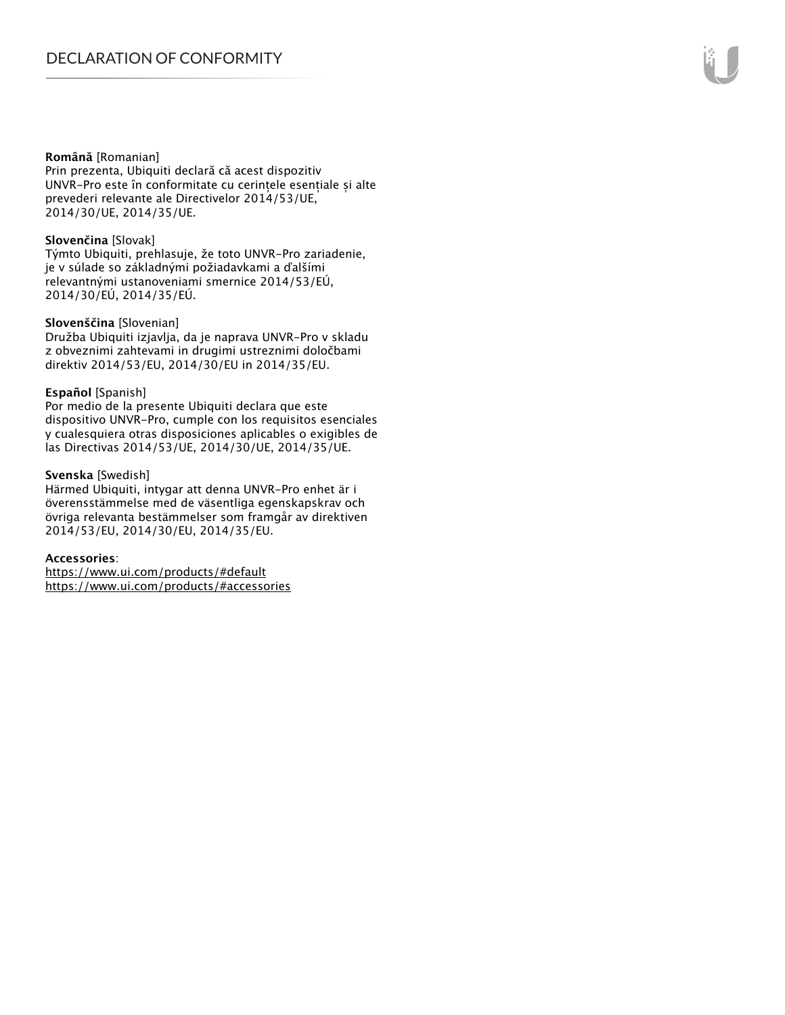#### **Română** [Romanian]

Prin prezenta, Ubiquiti declară că acest dispozitiv UNVR-Pro este în conformitate cu cerințele esențiale și alte prevederi relevante ale Directivelor 2014/53/UE, 2014/30/UE, 2014/35/UE.

#### **Slovenčina** [Slovak]

Týmto Ubiquiti, prehlasuje, že toto UNVR-Pro zariadenie, je v súlade so základnými požiadavkami a ďalšími relevantnými ustanoveniami smernice 2014/53/EÚ, 2014/30/EÚ, 2014/35/EÚ.

#### **Slovenščina** [Slovenian]

Družba Ubiquiti izjavlja, da je naprava UNVR-Pro v skladu z obveznimi zahtevami in drugimi ustreznimi določbami direktiv 2014/53/EU, 2014/30/EU in 2014/35/EU.

#### **Español** [Spanish]

Por medio de la presente Ubiquiti declara que este dispositivo UNVR-Pro, cumple con los requisitos esenciales y cualesquiera otras disposiciones aplicables o exigibles de las Directivas 2014/53/UE, 2014/30/UE, 2014/35/UE.

#### **Svenska** [Swedish]

Härmed Ubiquiti, intygar att denna UNVR-Pro enhet är i överensstämmelse med de väsentliga egenskapskrav och övriga relevanta bestämmelser som framgår av direktiven 2014/53/EU, 2014/30/EU, 2014/35/EU.

#### **Accessories**:

https://www.ui.com/products/#default https://www.ui.com/products/#accessories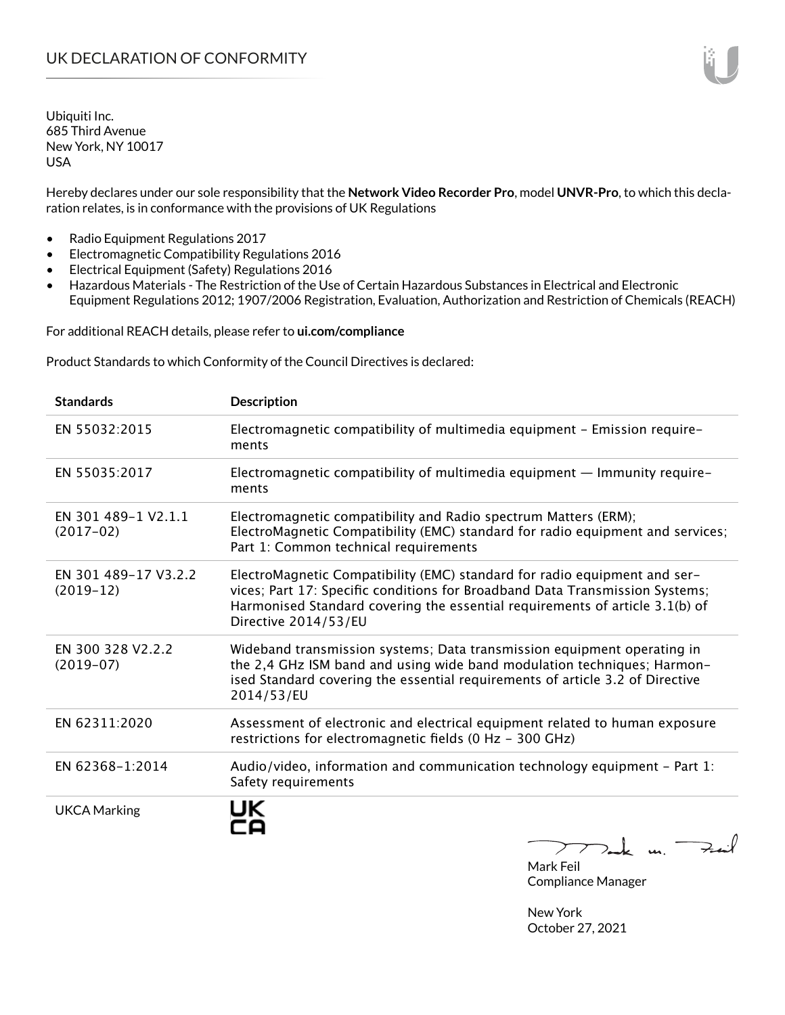Hereby declares under our sole responsibility that the **Network Video Recorder Pro**, model **UNVR-Pro**, to which this declaration relates, is in conformance with the provisions of UK Regulations

- Radio Equipment Regulations 2017
- Electromagnetic Compatibility Regulations 2016
- Electrical Equipment (Safety) Regulations 2016
- Hazardous Materials The Restriction of the Use of Certain Hazardous Substances in Electrical and Electronic Equipment Regulations 2012; 1907/2006 Registration, Evaluation, Authorization and Restriction of Chemicals (REACH)

For additional REACH details, please refer to **ui.com/compliance**

Product Standards to which Conformity of the Council Directives is declared:

| <b>Standards</b>                    | <b>Description</b>                                                                                                                                                                                                                                                |
|-------------------------------------|-------------------------------------------------------------------------------------------------------------------------------------------------------------------------------------------------------------------------------------------------------------------|
| EN 55032:2015                       | Electromagnetic compatibility of multimedia equipment - Emission require-<br>ments                                                                                                                                                                                |
| EN 55035:2017                       | Electromagnetic compatibility of multimedia equipment — Immunity require-<br>ments                                                                                                                                                                                |
| EN 301 489-1 V2.1.1<br>$(2017-02)$  | Electromagnetic compatibility and Radio spectrum Matters (ERM);<br>ElectroMagnetic Compatibility (EMC) standard for radio equipment and services;<br>Part 1: Common technical requirements                                                                        |
| EN 301 489-17 V3.2.2<br>$(2019-12)$ | ElectroMagnetic Compatibility (EMC) standard for radio equipment and ser-<br>vices; Part 17: Specific conditions for Broadband Data Transmission Systems;<br>Harmonised Standard covering the essential requirements of article 3.1(b) of<br>Directive 2014/53/EU |
| EN 300 328 V2.2.2<br>$(2019-07)$    | Wideband transmission systems; Data transmission equipment operating in<br>the 2,4 GHz ISM band and using wide band modulation techniques; Harmon-<br>ised Standard covering the essential requirements of article 3.2 of Directive<br>2014/53/EU                 |
| EN 62311:2020                       | Assessment of electronic and electrical equipment related to human exposure<br>restrictions for electromagnetic fields (0 Hz - 300 GHz)                                                                                                                           |
| EN 62368-1:2014                     | Audio/video, information and communication technology equipment - Part 1:<br>Safety requirements                                                                                                                                                                  |
| <b>UKCA Marking</b>                 | $\rightarrow$ $\rightarrow$ $\rightarrow$ $\rightarrow$                                                                                                                                                                                                           |

Mark Feil Compliance Manager

New York October 27, 2021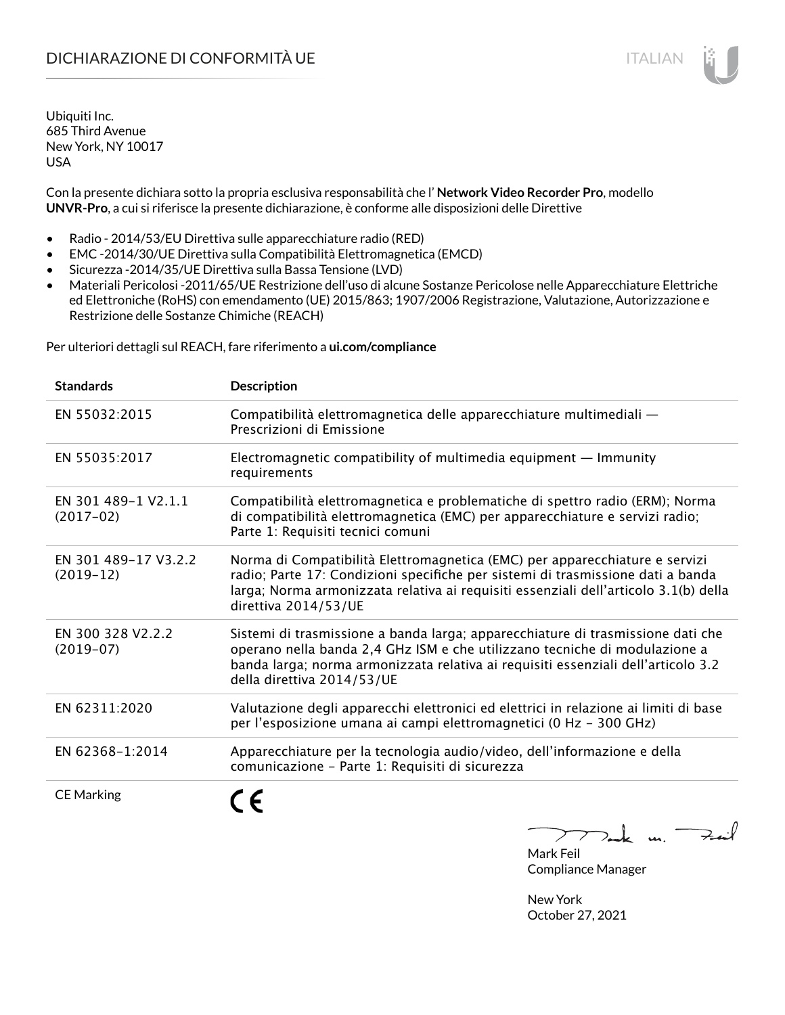# DICHIARAZIONE DI CONFORMITÀ UE ITALIAN ITALIAN

Ubiquiti Inc. 685 Third Avenue New York, NY 10017 USA

Con la presente dichiara sotto la propria esclusiva responsabilità che l' **Network Video Recorder Pro**, modello **UNVR-Pro**, a cui si riferisce la presente dichiarazione, è conforme alle disposizioni delle Direttive

- Radio 2014/53/EU Direttiva sulle apparecchiature radio (RED)
- EMC -2014/30/UE Direttiva sulla Compatibilità Elettromagnetica (EMCD)
- Sicurezza -2014/35/UE Direttiva sulla Bassa Tensione (LVD)
- Materiali Pericolosi -2011/65/UE Restrizione dell'uso di alcune Sostanze Pericolose nelle Apparecchiature Elettriche ed Elettroniche (RoHS) con emendamento (UE) 2015/863; 1907/2006 Registrazione, Valutazione, Autorizzazione e Restrizione delle Sostanze Chimiche (REACH)

Per ulteriori dettagli sul REACH, fare riferimento a **ui.com/compliance**

| <b>Standards</b>                    | <b>Description</b>                                                                                                                                                                                                                                                               |
|-------------------------------------|----------------------------------------------------------------------------------------------------------------------------------------------------------------------------------------------------------------------------------------------------------------------------------|
| EN 55032:2015                       | Compatibilità elettromagnetica delle apparecchiature multimediali -<br>Prescrizioni di Emissione                                                                                                                                                                                 |
| EN 55035:2017                       | Electromagnetic compatibility of multimedia equipment $-$ Immunity<br>requirements                                                                                                                                                                                               |
| EN 301 489-1 V2.1.1<br>$(2017-02)$  | Compatibilità elettromagnetica e problematiche di spettro radio (ERM); Norma<br>di compatibilità elettromagnetica (EMC) per apparecchiature e servizi radio;<br>Parte 1: Requisiti tecnici comuni                                                                                |
| EN 301 489-17 V3.2.2<br>$(2019-12)$ | Norma di Compatibilità Elettromagnetica (EMC) per apparecchiature e servizi<br>radio; Parte 17: Condizioni specifiche per sistemi di trasmissione dati a banda<br>larga; Norma armonizzata relativa ai requisiti essenziali dell'articolo 3.1(b) della<br>direttiva 2014/53/UE   |
| EN 300 328 V2.2.2<br>$(2019-07)$    | Sistemi di trasmissione a banda larga; apparecchiature di trasmissione dati che<br>operano nella banda 2,4 GHz ISM e che utilizzano tecniche di modulazione a<br>banda larga; norma armonizzata relativa ai requisiti essenziali dell'articolo 3.2<br>della direttiva 2014/53/UE |
| EN 62311:2020                       | Valutazione degli apparecchi elettronici ed elettrici in relazione ai limiti di base<br>per l'esposizione umana ai campi elettromagnetici (0 Hz - 300 GHz)                                                                                                                       |
| EN 62368-1:2014                     | Apparecchiature per la tecnologia audio/video, dell'informazione e della<br>comunicazione - Parte 1: Requisiti di sicurezza                                                                                                                                                      |
| <b>CE Marking</b>                   |                                                                                                                                                                                                                                                                                  |



Compliance Manager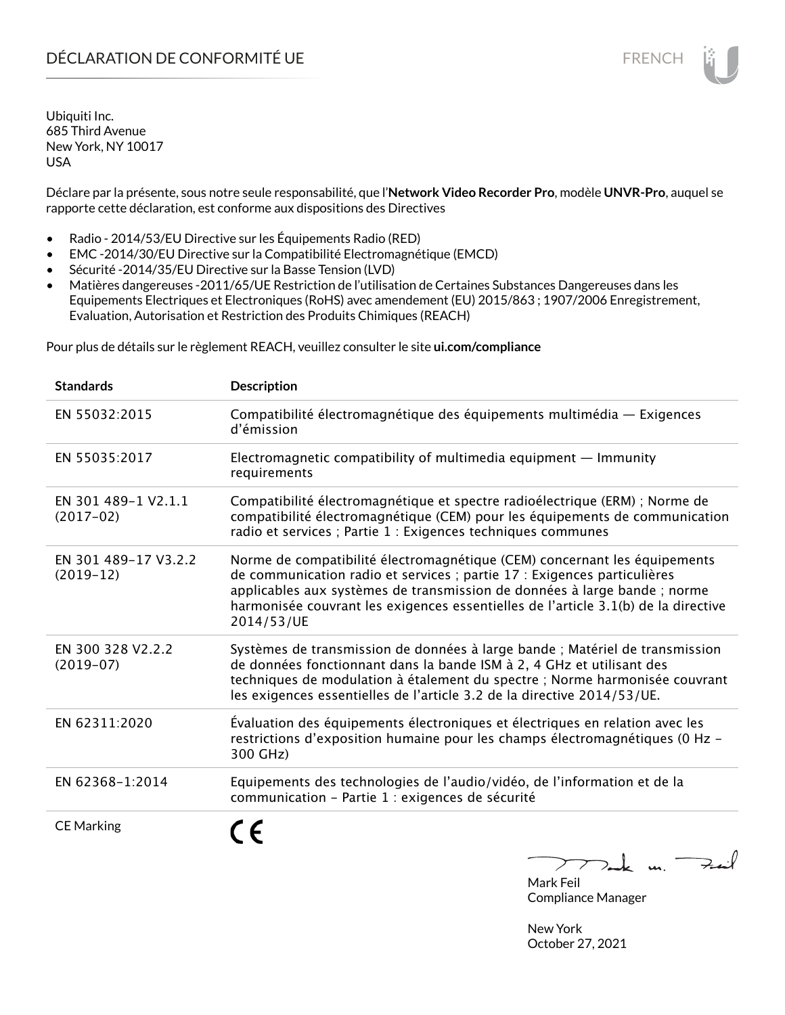Déclare par la présente, sous notre seule responsabilité, que l'**Network Video Recorder Pro**, modèle **UNVR-Pro**, auquel se rapporte cette déclaration, est conforme aux dispositions des Directives

- Radio 2014/53/EU Directive sur les Équipements Radio (RED)
- EMC -2014/30/EU Directive sur la Compatibilité Electromagnétique (EMCD)
- Sécurité -2014/35/EU Directive sur la Basse Tension (LVD)
- Matières dangereuses -2011/65/UE Restriction de l'utilisation de Certaines Substances Dangereuses dans les Equipements Electriques et Electroniques (RoHS) avec amendement (EU) 2015/863 ; 1907/2006 Enregistrement, Evaluation, Autorisation et Restriction des Produits Chimiques (REACH)

Pour plus de détails sur le règlement REACH, veuillez consulter le site **ui.com/compliance**

| <b>Standards</b>                    | <b>Description</b>                                                                                                                                                                                                                                                                                                                     |
|-------------------------------------|----------------------------------------------------------------------------------------------------------------------------------------------------------------------------------------------------------------------------------------------------------------------------------------------------------------------------------------|
| EN 55032:2015                       | Compatibilité électromagnétique des équipements multimédia — Exigences<br>d'émission                                                                                                                                                                                                                                                   |
| EN 55035:2017                       | Electromagnetic compatibility of multimedia equipment $-$ Immunity<br>requirements                                                                                                                                                                                                                                                     |
| EN 301 489-1 V2.1.1<br>$(2017-02)$  | Compatibilité électromagnétique et spectre radioélectrique (ERM) ; Norme de<br>compatibilité électromagnétique (CEM) pour les équipements de communication<br>radio et services ; Partie 1 : Exigences techniques communes                                                                                                             |
| EN 301 489-17 V3.2.2<br>$(2019-12)$ | Norme de compatibilité électromagnétique (CEM) concernant les équipements<br>de communication radio et services ; partie 17 : Exigences particulières<br>applicables aux systèmes de transmission de données à large bande ; norme<br>harmonisée couvrant les exigences essentielles de l'article 3.1(b) de la directive<br>2014/53/UE |
| EN 300 328 V2.2.2<br>$(2019-07)$    | Systèmes de transmission de données à large bande ; Matériel de transmission<br>de données fonctionnant dans la bande ISM à 2, 4 GHz et utilisant des<br>techniques de modulation à étalement du spectre ; Norme harmonisée couvrant<br>les exigences essentielles de l'article 3.2 de la directive 2014/53/UE.                        |
| EN 62311:2020                       | Évaluation des équipements électroniques et électriques en relation avec les<br>restrictions d'exposition humaine pour les champs électromagnétiques (0 Hz -<br>300 GHz)                                                                                                                                                               |
| EN 62368-1:2014                     | Equipements des technologies de l'audio/vidéo, de l'information et de la<br>communication - Partie 1 : exigences de sécurité                                                                                                                                                                                                           |
| <b>CE Marking</b>                   | $\overline{u}$                                                                                                                                                                                                                                                                                                                         |

 $\overline{\phantom{a}}$ ╱  $2 - k$  u. Mark Feil

Compliance Manager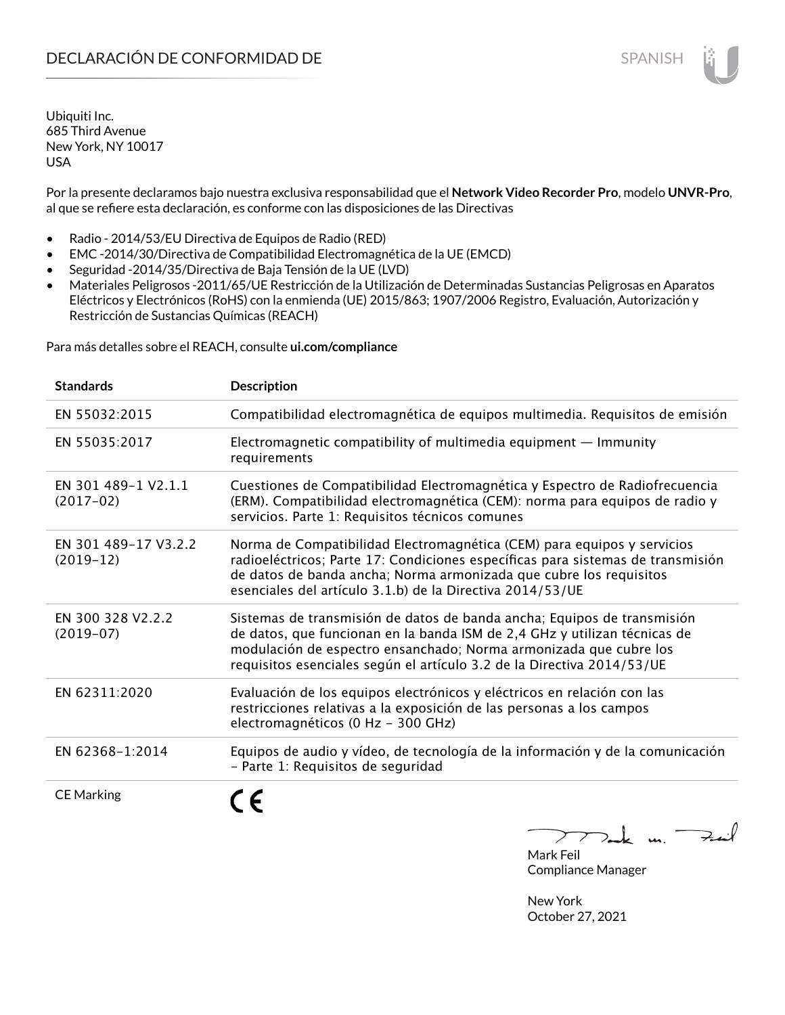Por la presente declaramos bajo nuestra exclusiva responsabilidad que el **Network Video Recorder Pro**, modelo **UNVR-Pro**, al que se refiere esta declaración, es conforme con las disposiciones de las Directivas

- Radio 2014/53/EU Directiva de Equipos de Radio (RED)
- EMC -2014/30/Directiva de Compatibilidad Electromagnética de la UE (EMCD)
- Seguridad -2014/35/Directiva de Baja Tensión de la UE (LVD)
- Materiales Peligrosos -2011/65/UE Restricción de la Utilización de Determinadas Sustancias Peligrosas en Aparatos Eléctricos y Electrónicos (RoHS) con la enmienda (UE) 2015/863; 1907/2006 Registro, Evaluación, Autorización y Restricción de Sustancias Químicas (REACH)

Para más detalles sobre el REACH, consulte **ui.com/compliance**

| <b>Standards</b>                    | <b>Description</b>                                                                                                                                                                                                                                                                                  |
|-------------------------------------|-----------------------------------------------------------------------------------------------------------------------------------------------------------------------------------------------------------------------------------------------------------------------------------------------------|
| EN 55032:2015                       | Compatibilidad electromagnética de equipos multimedia. Requisitos de emisión                                                                                                                                                                                                                        |
| EN 55035:2017                       | Electromagnetic compatibility of multimedia equipment $-$ Immunity<br>requirements                                                                                                                                                                                                                  |
| EN 301 489-1 V2.1.1<br>$(2017-02)$  | Cuestiones de Compatibilidad Electromagnética y Espectro de Radiofrecuencia<br>(ERM). Compatibilidad electromagnética (CEM): norma para equipos de radio y<br>servicios. Parte 1: Requisitos técnicos comunes                                                                                       |
| EN 301 489-17 V3.2.2<br>$(2019-12)$ | Norma de Compatibilidad Electromagnética (CEM) para equipos y servicios<br>radioeléctricos; Parte 17: Condiciones específicas para sistemas de transmisión<br>de datos de banda ancha; Norma armonizada que cubre los requisitos<br>esenciales del artículo 3.1.b) de la Directiva 2014/53/UE       |
| EN 300 328 V2.2.2<br>$(2019-07)$    | Sistemas de transmisión de datos de banda ancha; Equipos de transmisión<br>de datos, que funcionan en la banda ISM de 2,4 GHz y utilizan técnicas de<br>modulación de espectro ensanchado; Norma armonizada que cubre los<br>requisitos esenciales según el artículo 3.2 de la Directiva 2014/53/UE |
| EN 62311:2020                       | Evaluación de los equipos electrónicos y eléctricos en relación con las<br>restricciones relativas a la exposición de las personas a los campos<br>electromagnéticos (0 Hz - 300 GHz)                                                                                                               |
| EN 62368-1:2014                     | Equipos de audio y vídeo, de tecnología de la información y de la comunicación<br>- Parte 1: Requisitos de seguridad                                                                                                                                                                                |
| <b>CE Marking</b>                   |                                                                                                                                                                                                                                                                                                     |

 $k$  un  $\rightarrow$  $\triangleright$ 

Mark Feil Compliance Manager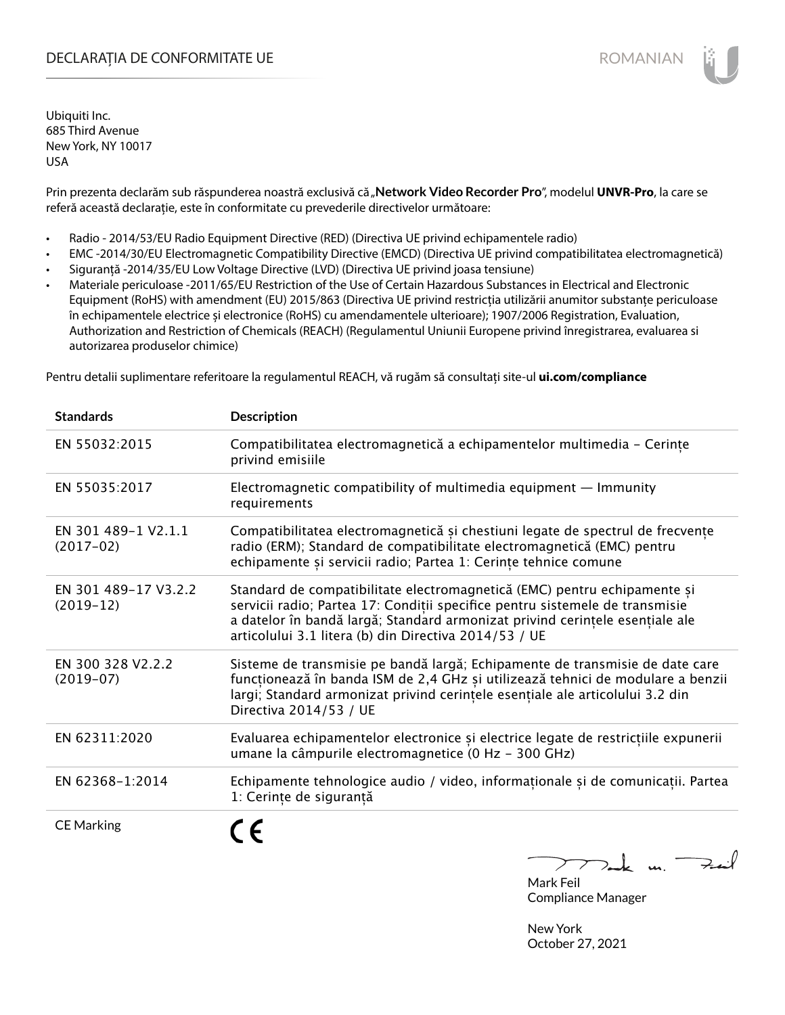### DECLARAȚIA DE CONFORMITATE UE EXECUTE DE ROMANIAN

Ubiquiti Inc. 685 Third Avenue New York, NY 10017 USA

Prin prezenta declarăm sub răspunderea noastră exclusivă că "**Network Video Recorder Pro**", modelul **UNVR-Pro**, la care se referă această declarație, este în conformitate cu prevederile directivelor următoare:

- Radio 2014/53/EU Radio Equipment Directive (RED) (Directiva UE privind echipamentele radio)
- EMC -2014/30/EU Electromagnetic Compatibility Directive (EMCD) (Directiva UE privind compatibilitatea electromagnetică)
- Siguranță -2014/35/EU Low Voltage Directive (LVD) (Directiva UE privind joasa tensiune)
- Materiale periculoase -2011/65/EU Restriction of the Use of Certain Hazardous Substances in Electrical and Electronic Equipment (RoHS) with amendment (EU) 2015/863 (Directiva UE privind restricția utilizării anumitor substanțe periculoase în echipamentele electrice și electronice (RoHS) cu amendamentele ulterioare); 1907/2006 Registration, Evaluation, Authorization and Restriction of Chemicals (REACH) (Regulamentul Uniunii Europene privind înregistrarea, evaluarea si autorizarea produselor chimice)

Pentru detalii suplimentare referitoare la regulamentul REACH, vă rugăm să consultați site-ul **ui.com/compliance**

| <b>Standards</b>                    | <b>Description</b>                                                                                                                                                                                                                                                                                |
|-------------------------------------|---------------------------------------------------------------------------------------------------------------------------------------------------------------------------------------------------------------------------------------------------------------------------------------------------|
| EN 55032:2015                       | Compatibilitatea electromagnetică a echipamentelor multimedia - Cerințe<br>privind emisiile                                                                                                                                                                                                       |
| EN 55035:2017                       | Electromagnetic compatibility of multimedia equipment - Immunity<br>requirements                                                                                                                                                                                                                  |
| EN 301 489-1 V2.1.1<br>$(2017-02)$  | Compatibilitatea electromagnetică și chestiuni legate de spectrul de frecvențe<br>radio (ERM); Standard de compatibilitate electromagnetică (EMC) pentru<br>echipamente și servicii radio; Partea 1: Cerințe tehnice comune                                                                       |
| EN 301 489-17 V3.2.2<br>$(2019-12)$ | Standard de compatibilitate electromagnetică (EMC) pentru echipamente și<br>servicii radio; Partea 17: Condiții specifice pentru sistemele de transmisie<br>a datelor în bandă largă; Standard armonizat privind cerințele esențiale ale<br>articolului 3.1 litera (b) din Directiva 2014/53 / UE |
| EN 300 328 V2.2.2<br>$(2019-07)$    | Sisteme de transmisie pe bandă largă; Echipamente de transmisie de date care<br>funcționează în banda ISM de 2,4 GHz și utilizează tehnici de modulare a benzii<br>largi; Standard armonizat privind cerințele esențiale ale articolului 3.2 din<br>Directiva 2014/53 / UE                        |
| EN 62311:2020                       | Evaluarea echipamentelor electronice și electrice legate de restricțiile expunerii<br>umane la câmpurile electromagnetice (0 Hz - 300 GHz)                                                                                                                                                        |
| EN 62368-1:2014                     | Echipamente tehnologice audio / video, informaționale și de comunicații. Partea<br>1: Cerințe de siguranță                                                                                                                                                                                        |
| <b>CE Marking</b>                   | n                                                                                                                                                                                                                                                                                                 |

 $\sum k$  u Feit  $\sum$ Mark Feil

Compliance Manager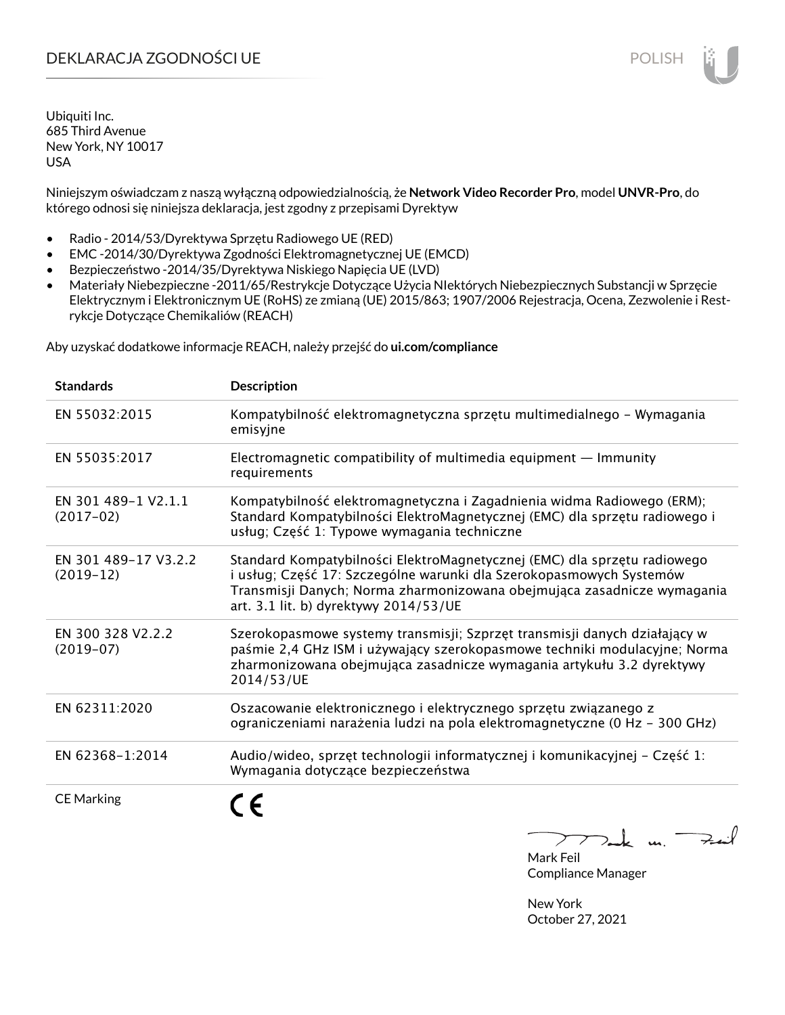## DEKLARACJA ZGODNOŚCI UE POLISH

Ubiquiti Inc. 685 Third Avenue New York, NY 10017 USA

Niniejszym oświadczam z naszą wyłączną odpowiedzialnością, że **Network Video Recorder Pro**, model **UNVR-Pro**, do którego odnosi się niniejsza deklaracja, jest zgodny z przepisami Dyrektyw

- Radio 2014/53/Dyrektywa Sprzętu Radiowego UE (RED)
- EMC -2014/30/Dyrektywa Zgodności Elektromagnetycznej UE (EMCD)
- Bezpieczeństwo -2014/35/Dyrektywa Niskiego Napięcia UE (LVD)
- Materiały Niebezpieczne -2011/65/Restrykcje Dotyczące Użycia NIektórych Niebezpiecznych Substancji w Sprzęcie Elektrycznym i Elektronicznym UE (RoHS) ze zmianą (UE) 2015/863; 1907/2006 Rejestracja, Ocena, Zezwolenie i Restrykcje Dotyczące Chemikaliów (REACH)

Aby uzyskać dodatkowe informacje REACH, należy przejść do **ui.com/compliance**

| <b>Standards</b>                    | <b>Description</b>                                                                                                                                                                                                                                                  |
|-------------------------------------|---------------------------------------------------------------------------------------------------------------------------------------------------------------------------------------------------------------------------------------------------------------------|
| EN 55032:2015                       | Kompatybilność elektromagnetyczna sprzętu multimedialnego – Wymagania<br>emisyjne                                                                                                                                                                                   |
| EN 55035:2017                       | Electromagnetic compatibility of multimedia equipment - Immunity<br>requirements                                                                                                                                                                                    |
| EN 301 489-1 V2.1.1<br>$(2017-02)$  | Kompatybilność elektromagnetyczna i Zagadnienia widma Radiowego (ERM);<br>Standard Kompatybilności ElektroMagnetycznej (EMC) dla sprzętu radiowego i<br>usług; Część 1: Typowe wymagania techniczne                                                                 |
| EN 301 489-17 V3.2.2<br>$(2019-12)$ | Standard Kompatybilności ElektroMagnetycznej (EMC) dla sprzętu radiowego<br>i usług; Część 17: Szczególne warunki dla Szerokopasmowych Systemów<br>Transmisji Danych; Norma zharmonizowana obejmująca zasadnicze wymagania<br>art. 3.1 lit. b) dyrektywy 2014/53/UE |
| EN 300 328 V2.2.2<br>$(2019-07)$    | Szerokopasmowe systemy transmisji; Szprzęt transmisji danych działający w<br>paśmie 2,4 GHz ISM i używający szerokopasmowe techniki modulacyjne; Norma<br>zharmonizowana obejmująca zasadnicze wymagania artykułu 3.2 dyrektywy<br>2014/53/UE                       |
| EN 62311:2020                       | Oszacowanie elektronicznego i elektrycznego sprzętu związanego z<br>ograniczeniami narażenia ludzi na pola elektromagnetyczne (0 Hz - 300 GHz)                                                                                                                      |
| EN 62368-1:2014                     | Audio/wideo, sprzęt technologii informatycznej i komunikacyjnej – Część 1:<br>Wymagania dotyczące bezpieczeństwa                                                                                                                                                    |
| <b>CE Marking</b>                   |                                                                                                                                                                                                                                                                     |

لأمدحه  $\mathbf{u}$ 

Mark Feil Compliance Manager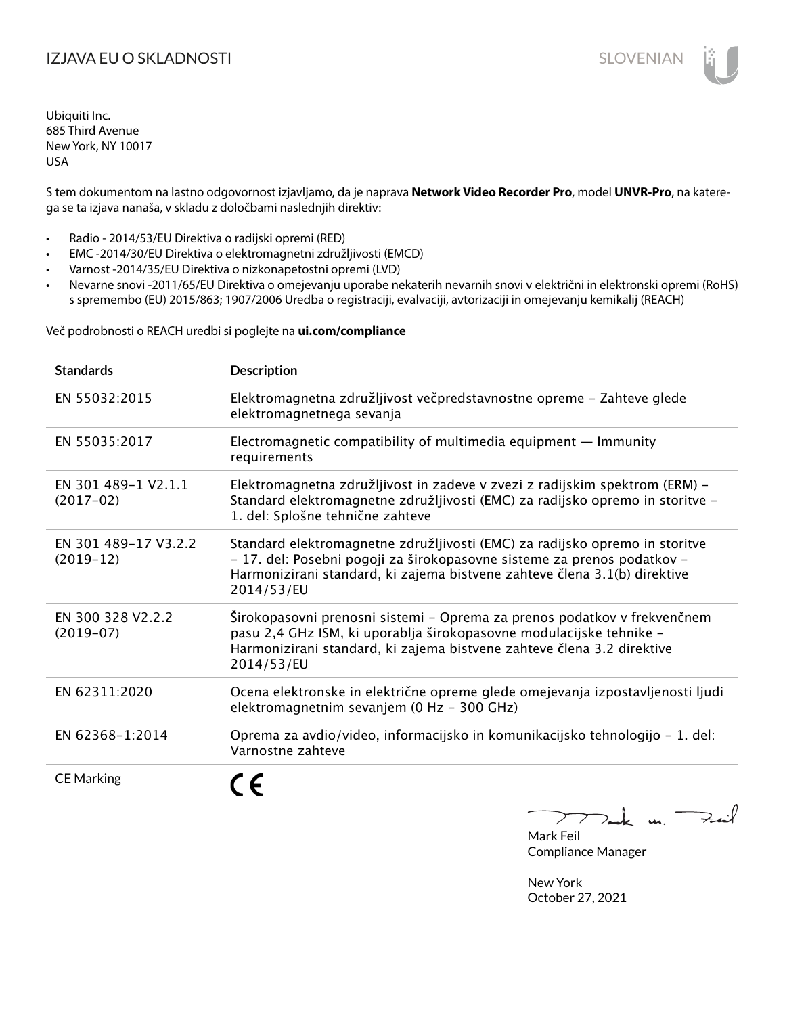### I**ZJAVA EU O SKLADNOSTI** SLOVENIAN

Ubiquiti Inc. 685 Third Avenue New York, NY 10017 USA

S tem dokumentom na lastno odgovornost izjavljamo, da je naprava **Network Video Recorder Pro**, model **UNVR-Pro**, na katerega se ta izjava nanaša, v skladu z določbami naslednjih direktiv:

- Radio 2014/53/EU Direktiva o radijski opremi (RED)
- EMC -2014/30/EU Direktiva o elektromagnetni združljivosti (EMCD)
- Varnost -2014/35/EU Direktiva o nizkonapetostni opremi (LVD)
- Nevarne snovi -2011/65/EU Direktiva o omejevanju uporabe nekaterih nevarnih snovi v električni in elektronski opremi (RoHS) s spremembo (EU) 2015/863; 1907/2006 Uredba o registraciji, evalvaciji, avtorizaciji in omejevanju kemikalij (REACH)

Več podrobnosti o REACH uredbi si poglejte na **ui.com/compliance**

| <b>Standards</b>                    | <b>Description</b>                                                                                                                                                                                                                                |
|-------------------------------------|---------------------------------------------------------------------------------------------------------------------------------------------------------------------------------------------------------------------------------------------------|
| EN 55032:2015                       | Elektromagnetna združljivost večpredstavnostne opreme - Zahteve glede<br>elektromagnetnega sevanja                                                                                                                                                |
| EN 55035:2017                       | Electromagnetic compatibility of multimedia equipment $-$ Immunity<br>requirements                                                                                                                                                                |
| EN 301 489-1 V2.1.1<br>$(2017-02)$  | Elektromagnetna združljivost in zadeve v zvezi z radijskim spektrom (ERM) –<br>Standard elektromagnetne združljivosti (EMC) za radijsko opremo in storitve -<br>1. del: Splošne tehnične zahteve                                                  |
| EN 301 489-17 V3.2.2<br>$(2019-12)$ | Standard elektromagnetne združljivosti (EMC) za radijsko opremo in storitve<br>- 17. del: Posebni pogoji za širokopasovne sisteme za prenos podatkov -<br>Harmonizirani standard, ki zajema bistvene zahteve člena 3.1(b) direktive<br>2014/53/EU |
| EN 300 328 V2.2.2<br>$(2019-07)$    | Širokopasovni prenosni sistemi – Oprema za prenos podatkov v frekvenčnem<br>pasu 2,4 GHz ISM, ki uporablja širokopasovne modulacijske tehnike -<br>Harmonizirani standard, ki zajema bistvene zahteve člena 3.2 direktive<br>2014/53/EU           |
| EN 62311:2020                       | Ocena elektronske in električne opreme glede omejevanja izpostavljenosti ljudi<br>elektromagnetnim sevanjem (0 Hz - 300 GHz)                                                                                                                      |
| EN 62368-1:2014                     | Oprema za avdio/video, informacijsko in komunikacijsko tehnologijo - 1. del:<br>Varnostne zahteve                                                                                                                                                 |
| <b>CE Marking</b>                   |                                                                                                                                                                                                                                                   |

m. Fail

Mark Feil Compliance Manager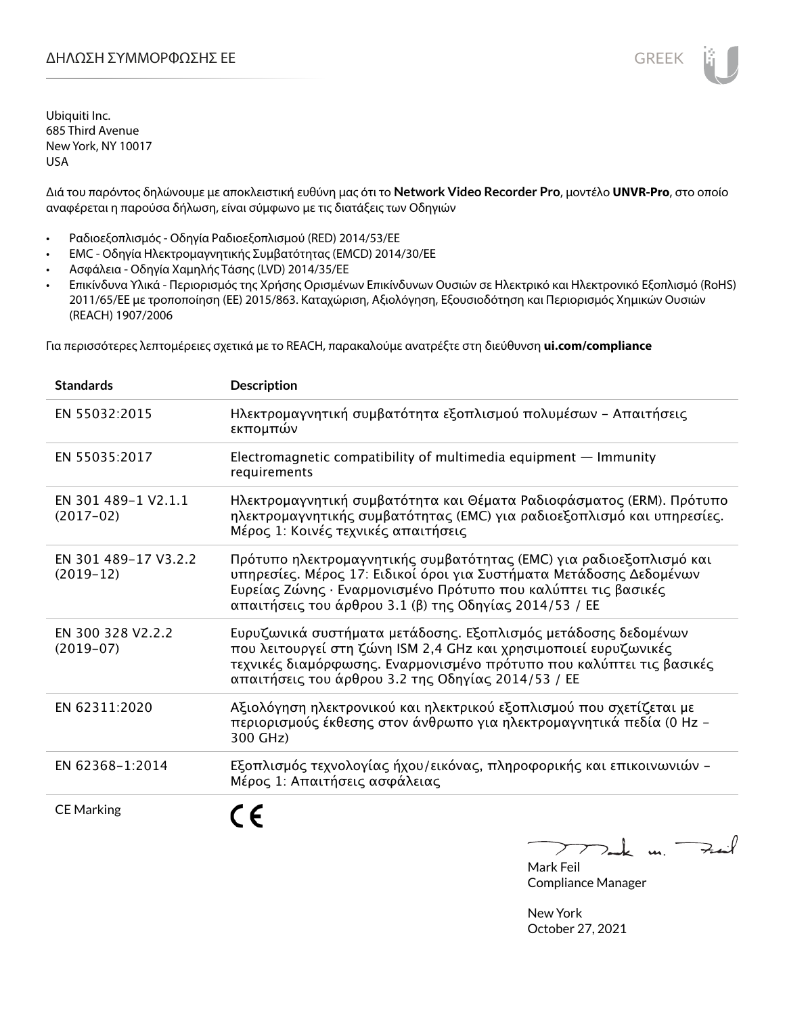Διά του παρόντος δηλώνουμε με αποκλειστική ευθύνη μας ότι το **Network Video Recorder Pro**, μοντέλο **UNVR-Pro**, στο οποίο αναφέρεται η παρούσα δήλωση, είναι σύμφωνο με τις διατάξεις των Οδηγιών

- Ραδιοεξοπλισμός Οδηγία Ραδιοεξοπλισμού (RED) 2014/53/ΕΕ
- EMC Οδηγία Ηλεκτρομαγνητικής Συμβατότητας (EMCD) 2014/30/ΕΕ
- Ασφάλεια Οδηγία Χαμηλής Τάσης (LVD) 2014/35/ΕΕ
- Επικίνδυνα Υλικά Περιορισμός της Χρήσης Ορισμένων Επικίνδυνων Ουσιών σε Ηλεκτρικό και Ηλεκτρονικό Εξοπλισμό (RoHS) 2011/65/ΕΕ με τροποποίηση (ΕΕ) 2015/863. Καταχώριση, Αξιολόγηση, Εξουσιοδότηση και Περιορισμός Χημικών Ουσιών (REACH) 1907/2006

Για περισσότερες λεπτομέρειες σχετικά με το REACH, παρακαλούμε ανατρέξτε στη διεύθυνση **ui.com/compliance**

| <b>Standards</b>                    | <b>Description</b>                                                                                                                                                                                                                                                     |
|-------------------------------------|------------------------------------------------------------------------------------------------------------------------------------------------------------------------------------------------------------------------------------------------------------------------|
| EN 55032:2015                       | Ηλεκτρομαγνητική συμβατότητα εξοπλισμού πολυμέσων - Απαιτήσεις<br>εκπομπών                                                                                                                                                                                             |
| EN 55035:2017                       | Electromagnetic compatibility of multimedia equipment - Immunity<br>requirements                                                                                                                                                                                       |
| EN 301 489-1 V2.1.1<br>$(2017-02)$  | Ηλεκτρομαγνητική συμβατότητα και Θέματα Ραδιοφάσματος (ERM). Πρότυπο<br>ηλεκτρομαγνητικής συμβατότητας (ΕΜC) για ραδιοεξοπλισμό και υπηρεσίες.<br>Μέρος 1: Κοινές τεχνικές απαιτήσεις                                                                                  |
| EN 301 489-17 V3.2.2<br>$(2019-12)$ | Πρότυπο ηλεκτρομαγνητικής συμβατότητας (ΕΜC) για ραδιοεξοπλισμό και<br>υπηρεσίες. Μέρος 17: Ειδικοί όροι για Συστήματα Μετάδοσης Δεδομένων<br>Ευρείας Ζώνης · Εναρμονισμένο Πρότυπο που καλύπτει τις βασικές<br>απαιτήσεις του άρθρου 3.1 (β) της Οδηγίας 2014/53 / ΕΕ |
| EN 300 328 V2.2.2<br>$(2019-07)$    | Ευρυζωνικά συστήματα μετάδοσης. Εξοπλισμός μετάδοσης δεδομένων<br>που λειτουργεί στη ζώνη ISM 2,4 GHz και χρησιμοποιεί ευρυζωνικές<br>τεχνικές διαμόρφωσης. Εναρμονισμένο πρότυπο που καλύπτει τις βασικές<br>απαιτήσεις του άρθρου 3.2 της Οδηγίας 2014/53 / ΕΕ       |
| EN 62311:2020                       | Αξιολόγηση ηλεκτρονικού και ηλεκτρικού εξοπλισμού που σχετίζεται με<br>περιορισμούς έκθεσης στον άνθρωπο για ηλεκτρομαγνητικά πεδία (0 Hz -<br>300 GHz)                                                                                                                |
| EN 62368-1:2014                     | Εξοπλισμός τεχνολογίας ήχου/εικόνας, πληροφορικής και επικοινωνιών -<br>Μέρος 1: Απαιτήσεις ασφάλειας                                                                                                                                                                  |
| <b>CE Marking</b>                   |                                                                                                                                                                                                                                                                        |

Tak un Fait  $\sum$ 

Mark Feil Compliance Manager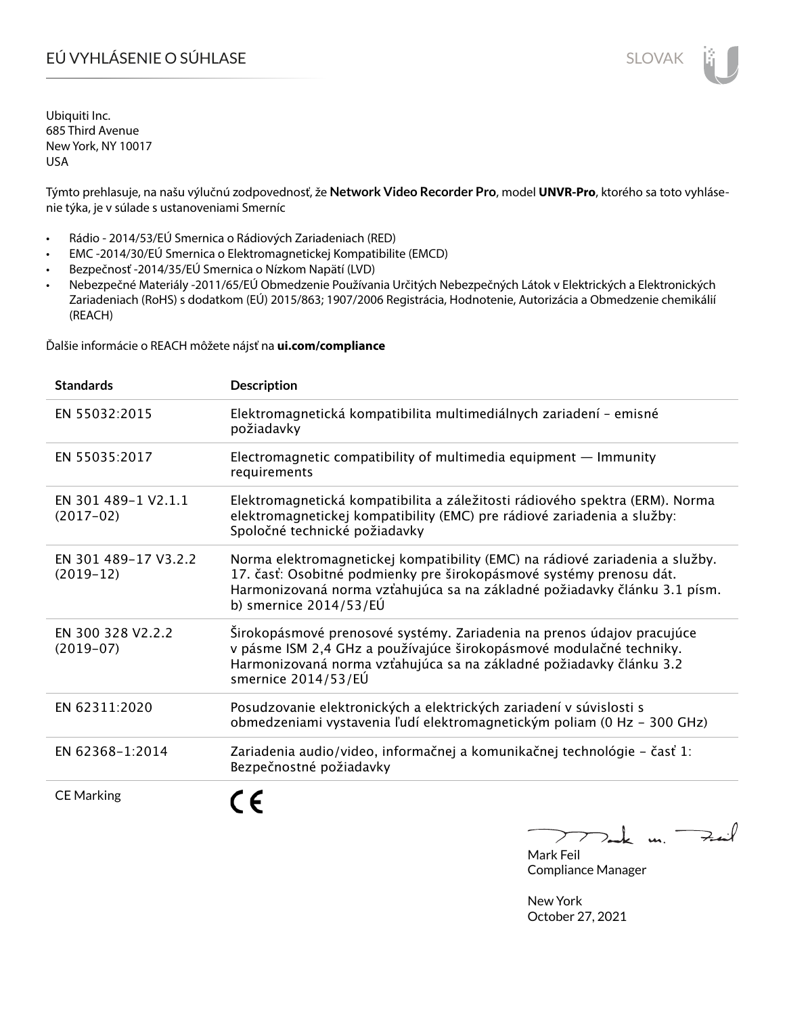# EÚ VYHLÁSENIE O SÚHLASE SLOVAK SLOVAK

Ubiquiti Inc. 685 Third Avenue New York, NY 10017 USA

Týmto prehlasuje, na našu výlučnú zodpovednosť, že **Network Video Recorder Pro**, model **UNVR-Pro**, ktorého sa toto vyhlásenie týka, je v súlade s ustanoveniami Smerníc

- Rádio 2014/53/EÚ Smernica o Rádiových Zariadeniach (RED)
- EMC -2014/30/EÚ Smernica o Elektromagnetickej Kompatibilite (EMCD)
- Bezpečnosť -2014/35/EÚ Smernica o Nízkom Napätí (LVD)
- Nebezpečné Materiály -2011/65/EÚ Obmedzenie Používania Určitých Nebezpečných Látok v Elektrických a Elektronických Zariadeniach (RoHS) s dodatkom (EÚ) 2015/863; 1907/2006 Registrácia, Hodnotenie, Autorizácia a Obmedzenie chemikálií (REACH)

Ďalšie informácie o REACH môžete nájsť na **ui.com/compliance**

| <b>Standards</b>                    | <b>Description</b>                                                                                                                                                                                                                                           |
|-------------------------------------|--------------------------------------------------------------------------------------------------------------------------------------------------------------------------------------------------------------------------------------------------------------|
| EN 55032:2015                       | Elektromagnetická kompatibilita multimediálnych zariadení - emisné<br>požiadavky                                                                                                                                                                             |
| EN 55035:2017                       | Electromagnetic compatibility of multimedia equipment - Immunity<br>requirements                                                                                                                                                                             |
| EN 301 489-1 V2.1.1<br>$(2017-02)$  | Elektromagnetická kompatibilita a záležitosti rádiového spektra (ERM). Norma<br>elektromagnetickej kompatibility (EMC) pre rádiové zariadenia a služby:<br>Spoločné technické požiadavky                                                                     |
| EN 301 489-17 V3.2.2<br>$(2019-12)$ | Norma elektromagnetickej kompatibility (EMC) na rádiové zariadenia a služby.<br>17. časť: Osobitné podmienky pre širokopásmové systémy prenosu dát.<br>Harmonizovaná norma vzťahujúca sa na základné požiadavky článku 3.1 písm.<br>b) smernice $2014/53/EU$ |
| EN 300 328 V2.2.2<br>$(2019-07)$    | Širokopásmové prenosové systémy. Zariadenia na prenos údajov pracujúce<br>v pásme ISM 2,4 GHz a používajúce širokopásmové modulačné techniky.<br>Harmonizovaná norma vzťahujúca sa na základné požiadavky článku 3.2<br>smernice 2014/53/EÚ                  |
| EN 62311:2020                       | Posudzovanie elektronických a elektrických zariadení v súvislosti s<br>obmedzeniami vystavenia ľudí elektromagnetickým poliam (0 Hz - 300 GHz)                                                                                                               |
| EN 62368-1:2014                     | Zariadenia audio/video, informačnej a komunikačnej technológie - časť 1:<br>Bezpečnostné požiadavky                                                                                                                                                          |
| <b>CE Marking</b>                   |                                                                                                                                                                                                                                                              |

 $k$  un  $\rightarrow$  $\sum$ 

Mark Feil Compliance Manager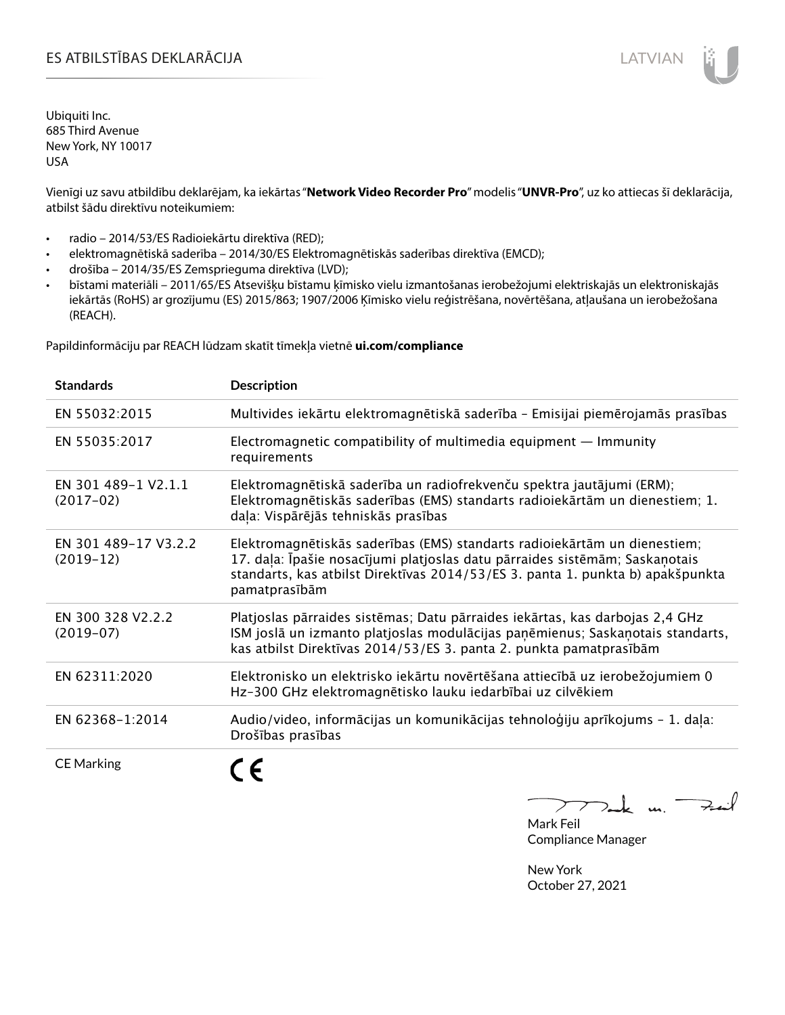### ES ATBILSTĪBAS DEKLARĀCIJA LATVIAN

Ubiquiti Inc. 685 Third Avenue New York, NY 10017 USA

Vienīgi uz savu atbildību deklarējam, ka iekārtas "**Network Video Recorder Pro**" modelis "**UNVR-Pro**", uz ko attiecas šī deklarācija, atbilst šādu direktīvu noteikumiem:

- radio 2014/53/ES Radioiekārtu direktīva (RED);
- elektromagnētiskā saderība 2014/30/ES Elektromagnētiskās saderības direktīva (EMCD);
- drošība 2014/35/ES Zemsprieguma direktīva (LVD);
- bīstami materiāli 2011/65/ES Atsevišķu bīstamu ķīmisko vielu izmantošanas ierobežojumi elektriskajās un elektroniskajās iekārtās (RoHS) ar grozījumu (ES) 2015/863; 1907/2006 Ķīmisko vielu reģistrēšana, novērtēšana, atļaušana un ierobežošana (REACH).

Papildinformāciju par REACH lūdzam skatīt tīmekļa vietnē **ui.com/compliance**

| <b>Standards</b>                    | <b>Description</b>                                                                                                                                                                                                                                          |
|-------------------------------------|-------------------------------------------------------------------------------------------------------------------------------------------------------------------------------------------------------------------------------------------------------------|
| EN 55032:2015                       | Multivides iekārtu elektromagnētiskā saderība - Emisijai piemērojamās prasības                                                                                                                                                                              |
| EN 55035:2017                       | Electromagnetic compatibility of multimedia equipment $-$ Immunity<br>requirements                                                                                                                                                                          |
| EN 301 489-1 V2.1.1<br>$(2017-02)$  | Elektromagnētiskā saderība un radiofrekvenču spektra jautājumi (ERM);<br>Elektromagnētiskās saderības (EMS) standarts radioiekārtām un dienestiem; 1.<br>daļa: Vispārējās tehniskās prasības                                                                |
| EN 301 489-17 V3.2.2<br>$(2019-12)$ | Elektromagnētiskās saderības (EMS) standarts radioiekārtām un dienestiem;<br>17. dala: Īpašie nosacījumi platjoslas datu pārraides sistēmām; Saskaņotais<br>standarts, kas atbilst Direktīvas 2014/53/ES 3. panta 1. punkta b) apakšpunkta<br>pamatprasībām |
| EN 300 328 V2.2.2<br>$(2019-07)$    | Platjoslas pārraides sistēmas; Datu pārraides iekārtas, kas darbojas 2,4 GHz<br>ISM joslā un izmanto platjoslas modulācijas paņēmienus; Saskaņotais standarts,<br>kas atbilst Direktīvas 2014/53/ES 3. panta 2. punkta pamatprasībām                        |
| EN 62311:2020                       | Elektronisko un elektrisko iekārtu novērtēšana attiecībā uz ierobežojumiem 0<br>Hz-300 GHz elektromagnētisko lauku iedarbībai uz cilvēkiem                                                                                                                  |
| EN 62368-1:2014                     | Audio/video, informācijas un komunikācijas tehnoloģiju aprīkojums - 1. daļa:<br>Drošības prasības                                                                                                                                                           |
| <b>CE Marking</b>                   |                                                                                                                                                                                                                                                             |

Tak un Fail  $\triangleright$ 

Mark Feil Compliance Manager